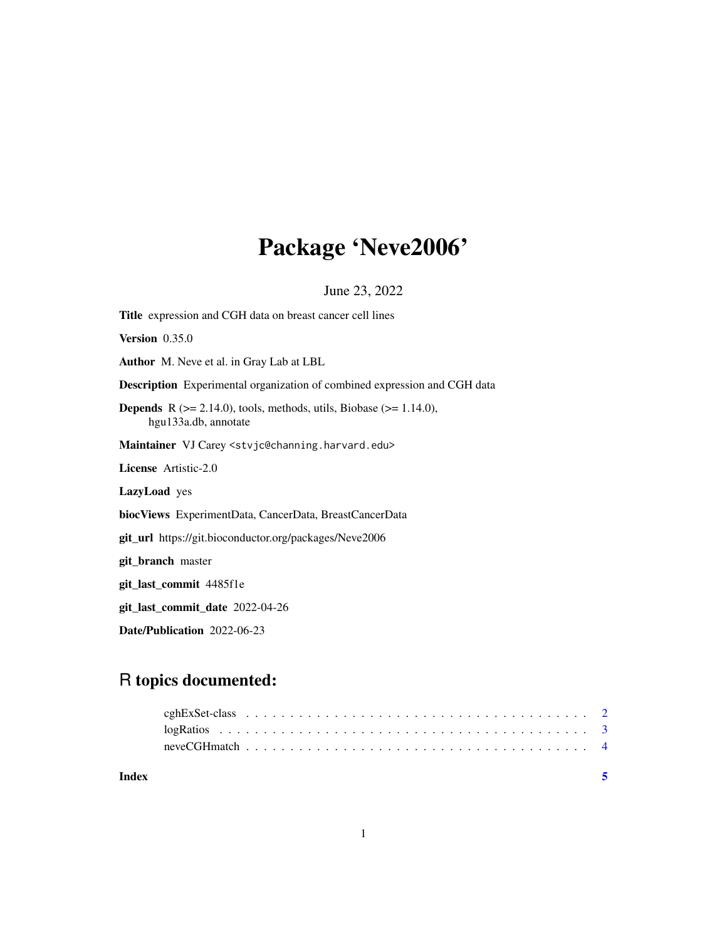# Package 'Neve2006'

June 23, 2022

<span id="page-0-0"></span>Title expression and CGH data on breast cancer cell lines Version 0.35.0 Author M. Neve et al. in Gray Lab at LBL Description Experimental organization of combined expression and CGH data **Depends** R  $(>= 2.14.0)$ , tools, methods, utils, Biobase  $(>= 1.14.0)$ , hgu133a.db, annotate Maintainer VJ Carey <stvjc@channing.harvard.edu> License Artistic-2.0 LazyLoad yes biocViews ExperimentData, CancerData, BreastCancerData git\_url https://git.bioconductor.org/packages/Neve2006 git\_branch master git\_last\_commit 4485f1e git\_last\_commit\_date 2022-04-26 Date/Publication 2022-06-23

# R topics documented: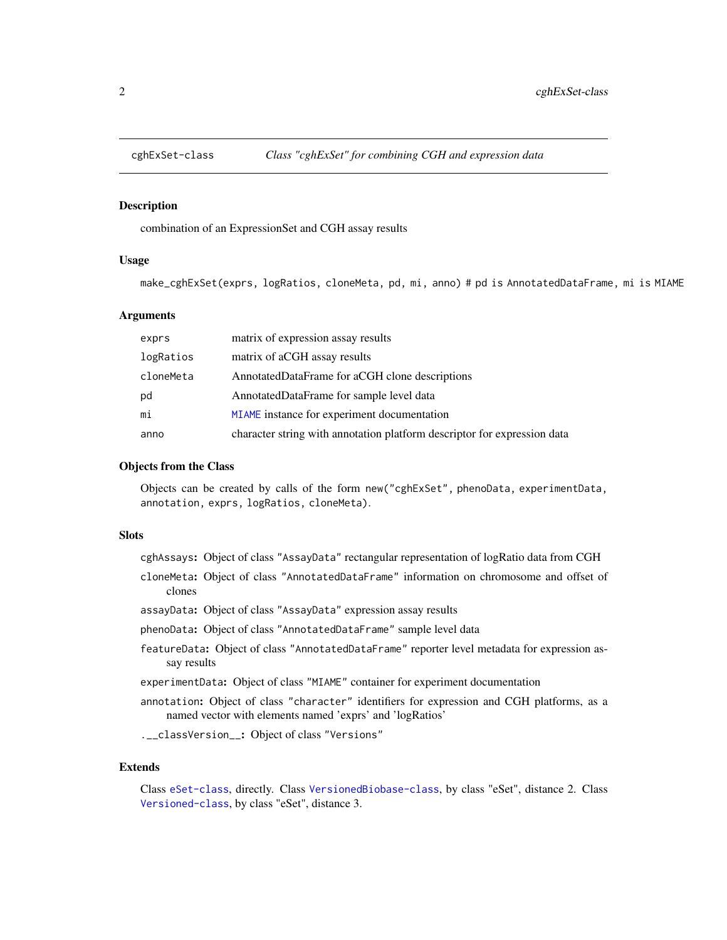<span id="page-1-1"></span><span id="page-1-0"></span>

# Description

combination of an ExpressionSet and CGH assay results

# Usage

make\_cghExSet(exprs, logRatios, cloneMeta, pd, mi, anno) # pd is AnnotatedDataFrame, mi is MIAME

# Arguments

| exprs     | matrix of expression assay results                                       |
|-----------|--------------------------------------------------------------------------|
| logRatios | matrix of aCGH assay results                                             |
| cloneMeta | AnnotatedDataFrame for aCGH clone descriptions                           |
| pd        | AnnotatedDataFrame for sample level data                                 |
| mi        | MIAME instance for experiment documentation                              |
| anno      | character string with annotation platform descriptor for expression data |

#### Objects from the Class

Objects can be created by calls of the form new("cghExSet", phenoData, experimentData, annotation, exprs, logRatios, cloneMeta).

# **Slots**

cghAssays: Object of class "AssayData" rectangular representation of logRatio data from CGH

- cloneMeta: Object of class "AnnotatedDataFrame" information on chromosome and offset of clones
- assayData: Object of class "AssayData" expression assay results
- phenoData: Object of class "AnnotatedDataFrame" sample level data
- featureData: Object of class "AnnotatedDataFrame" reporter level metadata for expression assay results
- experimentData: Object of class "MIAME" container for experiment documentation
- annotation: Object of class "character" identifiers for expression and CGH platforms, as a named vector with elements named 'exprs' and 'logRatios'

.\_\_classVersion\_\_: Object of class "Versions"

#### Extends

Class [eSet-class](#page-0-0), directly. Class [VersionedBiobase-class](#page-0-0), by class "eSet", distance 2. Class [Versioned-class](#page-0-0), by class "eSet", distance 3.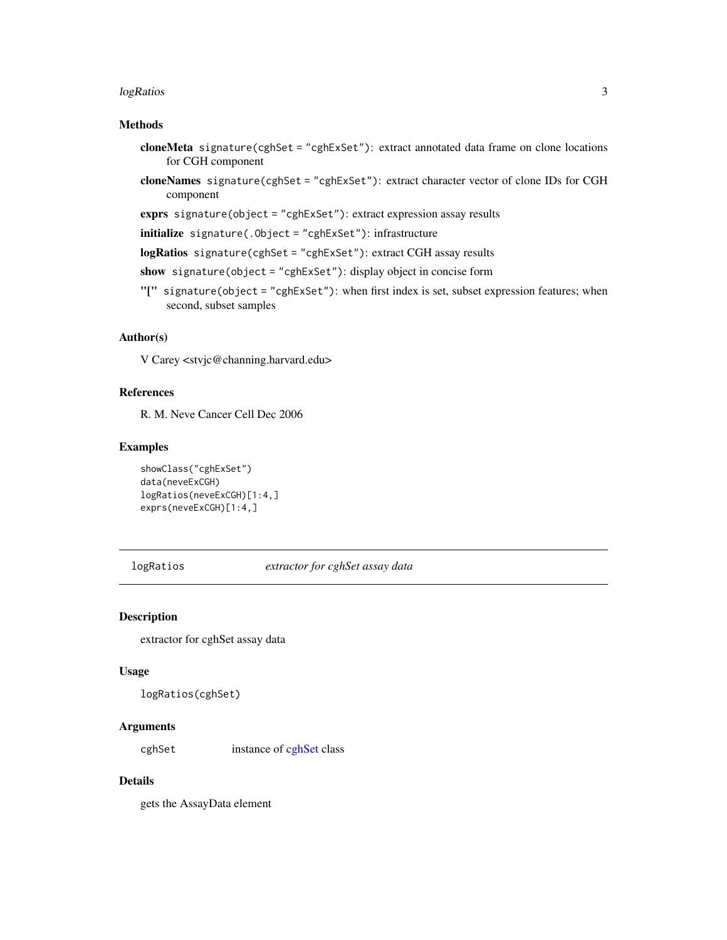#### <span id="page-2-0"></span> $logR\,times$  3

# Methods

- cloneMeta signature(cghSet = "cghExSet"): extract annotated data frame on clone locations for CGH component
- cloneNames signature(cghSet = "cghExSet"): extract character vector of clone IDs for CGH component
- exprs signature(object = "cghExSet"): extract expression assay results
- initialize signature(.Object = "cghExSet"): infrastructure
- logRatios signature(cghSet = "cghExSet"): extract CGH assay results
- show signature(object = "cghExSet"): display object in concise form
- "[" signature(object = "cghExSet"): when first index is set, subset expression features; when second, subset samples

# Author(s)

V Carey <stvjc@channing.harvard.edu>

# References

R. M. Neve Cancer Cell Dec 2006

#### Examples

```
showClass("cghExSet")
data(neveExCGH)
logRatios(neveExCGH)[1:4,]
exprs(neveExCGH)[1:4,]
```
logRatios *extractor for cghSet assay data*

#### <span id="page-2-1"></span>Description

extractor for cghSet assay data

#### Usage

```
logRatios(cghSet)
```
### **Arguments**

[cghSet](#page-2-1) instance of cghSet class

# Details

gets the AssayData element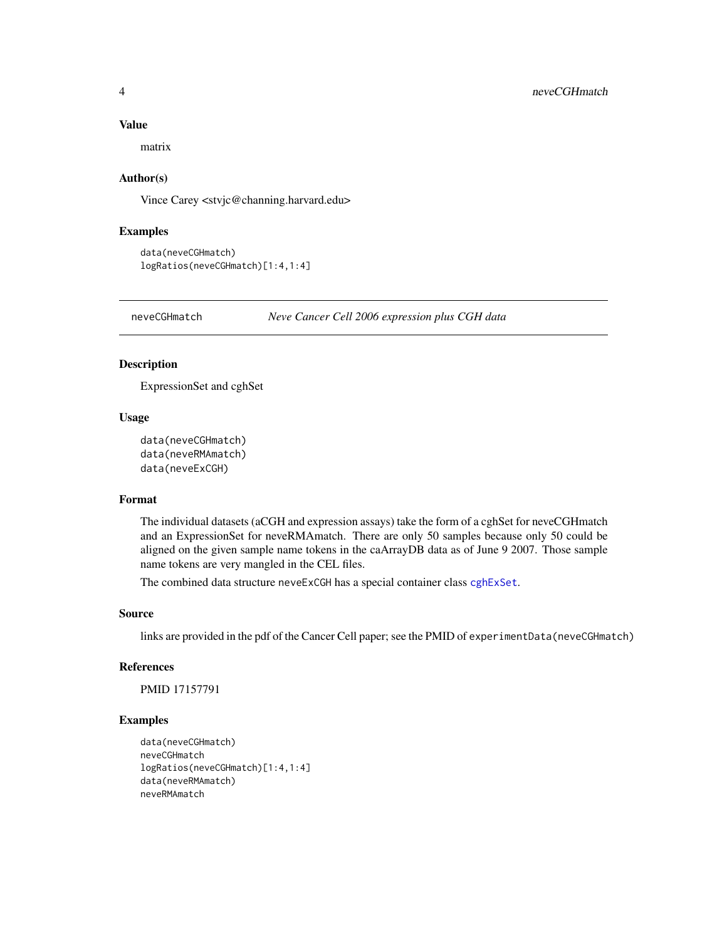#### Value

matrix

# Author(s)

Vince Carey <stvjc@channing.harvard.edu>

# Examples

```
data(neveCGHmatch)
logRatios(neveCGHmatch)[1:4,1:4]
```
neveCGHmatch *Neve Cancer Cell 2006 expression plus CGH data*

# Description

ExpressionSet and cghSet

# Usage

```
data(neveCGHmatch)
data(neveRMAmatch)
data(neveExCGH)
```
# Format

The individual datasets (aCGH and expression assays) take the form of a cghSet for neveCGHmatch and an ExpressionSet for neveRMAmatch. There are only 50 samples because only 50 could be aligned on the given sample name tokens in the caArrayDB data as of June 9 2007. Those sample name tokens are very mangled in the CEL files.

The combined data structure neveExCGH has a special container class [cghExSet](#page-1-1).

#### Source

links are provided in the pdf of the Cancer Cell paper; see the PMID of experimentData(neveCGHmatch)

#### References

PMID 17157791

#### Examples

```
data(neveCGHmatch)
neveCGHmatch
logRatios(neveCGHmatch)[1:4,1:4]
data(neveRMAmatch)
neveRMAmatch
```
<span id="page-3-0"></span>